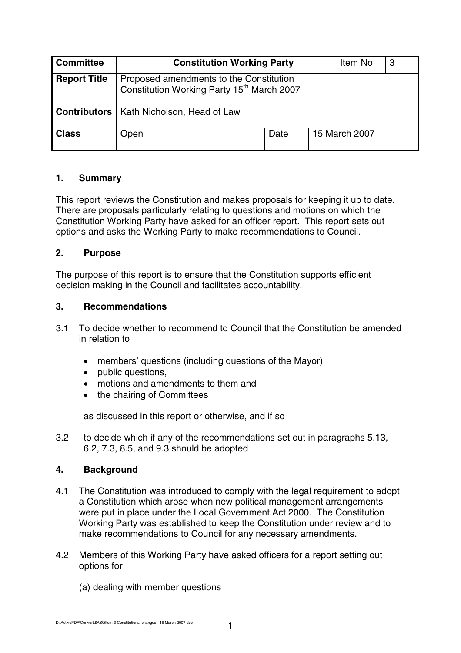| <b>Committee</b>    | <b>Constitution Working Party</b>                                                                 |      |  | Item No       | 3 |
|---------------------|---------------------------------------------------------------------------------------------------|------|--|---------------|---|
| <b>Report Title</b> | Proposed amendments to the Constitution<br>Constitution Working Party 15 <sup>th</sup> March 2007 |      |  |               |   |
| Contributors        | Kath Nicholson, Head of Law                                                                       |      |  |               |   |
| <b>Class</b>        | Open                                                                                              | Date |  | 15 March 2007 |   |

## **1. Summary**

This report reviews the Constitution and makes proposals for keeping it up to date. There are proposals particularly relating to questions and motions on which the Constitution Working Party have asked for an officer report. This report sets out options and asks the Working Party to make recommendations to Council.

## **2. Purpose**

The purpose of this report is to ensure that the Constitution supports efficient decision making in the Council and facilitates accountability.

## **3. Recommendations**

- 3.1 To decide whether to recommend to Council that the Constitution be amended in relation to
	- members' questions (including questions of the Mayor)
	- public questions.
	- motions and amendments to them and
	- the chairing of Committees

as discussed in this report or otherwise, and if so

3.2 to decide which if any of the recommendations set out in paragraphs 5.13, 6.2, 7.3, 8.5, and 9.3 should be adopted

# **4. Background**

- 4.1 The Constitution was introduced to comply with the legal requirement to adopt a Constitution which arose when new political management arrangements were put in place under the Local Government Act 2000. The Constitution Working Party was established to keep the Constitution under review and to make recommendations to Council for any necessary amendments.
- 4.2 Members of this Working Party have asked officers for a report setting out options for
	- (a) dealing with member questions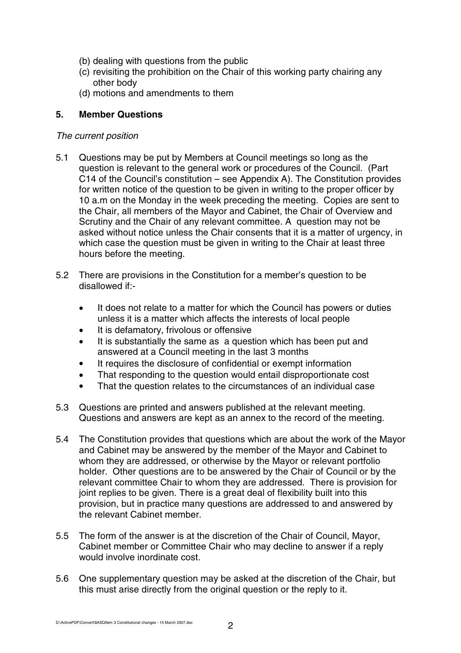- (b) dealing with questions from the public
- (c) revisiting the prohibition on the Chair of this working party chairing any other body
- (d) motions and amendments to them

# **5. Member Questions**

## The current position

- 5.1 Questions may be put by Members at Council meetings so long as the question is relevant to the general work or procedures of the Council. (Part C14 of the Council's constitution – see Appendix A). The Constitution provides for written notice of the question to be given in writing to the proper officer by 10 a.m on the Monday in the week preceding the meeting. Copies are sent to the Chair, all members of the Mayor and Cabinet, the Chair of Overview and Scrutiny and the Chair of any relevant committee. A question may not be asked without notice unless the Chair consents that it is a matter of urgency, in which case the question must be given in writing to the Chair at least three hours before the meeting.
- 5.2 There are provisions in the Constitution for a member's question to be disallowed if:-
	- It does not relate to a matter for which the Council has powers or duties unless it is a matter which affects the interests of local people
	- It is defamatory, frivolous or offensive
	- It is substantially the same as a question which has been put and answered at a Council meeting in the last 3 months
	- It requires the disclosure of confidential or exempt information
	- That responding to the question would entail disproportionate cost
	- That the question relates to the circumstances of an individual case
- 5.3 Questions are printed and answers published at the relevant meeting. Questions and answers are kept as an annex to the record of the meeting.
- 5.4 The Constitution provides that questions which are about the work of the Mayor and Cabinet may be answered by the member of the Mayor and Cabinet to whom they are addressed, or otherwise by the Mayor or relevant portfolio holder. Other questions are to be answered by the Chair of Council or by the relevant committee Chair to whom they are addressed. There is provision for joint replies to be given. There is a great deal of flexibility built into this provision, but in practice many questions are addressed to and answered by the relevant Cabinet member.
- 5.5 The form of the answer is at the discretion of the Chair of Council, Mayor, Cabinet member or Committee Chair who may decline to answer if a reply would involve inordinate cost.
- 5.6 One supplementary question may be asked at the discretion of the Chair, but this must arise directly from the original question or the reply to it.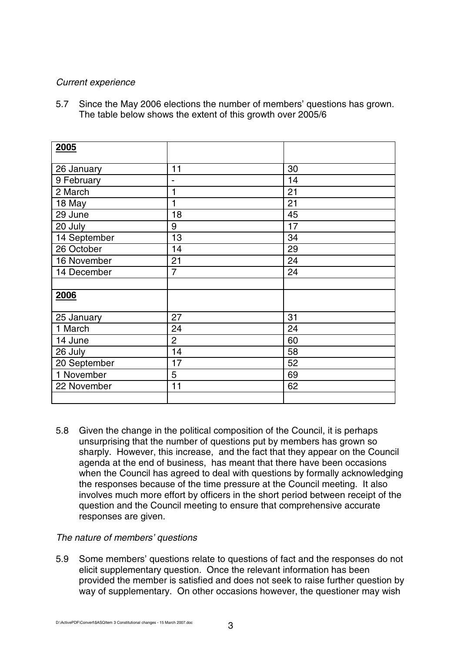## Current experience

5.7 Since the May 2006 elections the number of members' questions has grown. The table below shows the extent of this growth over 2005/6

| 2005         |                |    |  |
|--------------|----------------|----|--|
| 26 January   | 11             | 30 |  |
| 9 February   | -              | 14 |  |
| 2 March      | 1              | 21 |  |
| 18 May       | 1              | 21 |  |
| 29 June      | 18             | 45 |  |
| 20 July      | 9              | 17 |  |
| 14 September | 13             | 34 |  |
| 26 October   | 14             | 29 |  |
| 16 November  | 21             | 24 |  |
| 14 December  | 7              | 24 |  |
|              |                |    |  |
| 2006         |                |    |  |
| 25 January   | 27             | 31 |  |
| 1 March      | 24             | 24 |  |
| 14 June      | $\overline{c}$ | 60 |  |
| 26 July      | 14             | 58 |  |
| 20 September | 17             | 52 |  |
| 1 November   | 5              | 69 |  |
| 22 November  | 11             | 62 |  |
|              |                |    |  |

5.8 Given the change in the political composition of the Council, it is perhaps unsurprising that the number of questions put by members has grown so sharply. However, this increase, and the fact that they appear on the Council agenda at the end of business, has meant that there have been occasions when the Council has agreed to deal with questions by formally acknowledging the responses because of the time pressure at the Council meeting. It also involves much more effort by officers in the short period between receipt of the question and the Council meeting to ensure that comprehensive accurate responses are given.

## The nature of members' questions

5.9 Some members' questions relate to questions of fact and the responses do not elicit supplementary question. Once the relevant information has been provided the member is satisfied and does not seek to raise further question by way of supplementary. On other occasions however, the questioner may wish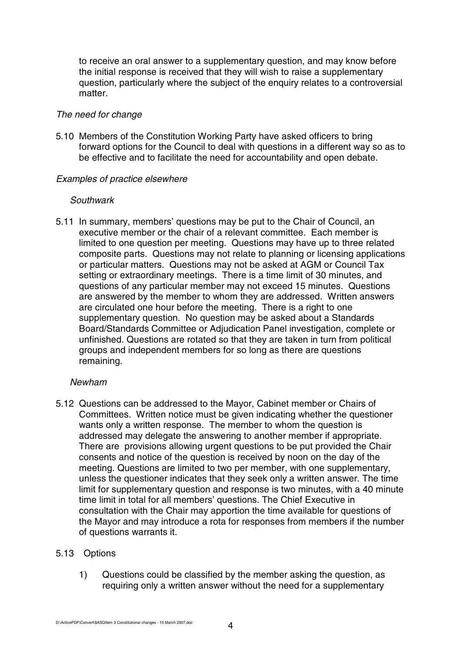to receive an oral answer to a supplementary question, and may know before the initial response is received that they will wish to raise a supplementary question, particularly where the subject of the enquiry relates to a controversial matter.

### The need for change

5.10 Members of the Constitution Working Party have asked officers to bring forward options for the Council to deal with questions in a different way so as to be effective and to facilitate the need for accountability and open debate.

## Examples of practice elsewhere

#### **Southwark**

5.11 In summary, members' questions may be put to the Chair of Council, an executive member or the chair of a relevant committee. Each member is limited to one question per meeting. Questions may have up to three related composite parts. Questions may not relate to planning or licensing applications or particular matters. Questions may not be asked at AGM or Council Tax setting or extraordinary meetings. There is a time limit of 30 minutes, and questions of any particular member may not exceed 15 minutes. Questions are answered by the member to whom they are addressed. Written answers are circulated one hour before the meeting. There is a right to one supplementary question. No question may be asked about a Standards Board/Standards Committee or Adjudication Panel investigation, complete or unfinished. Questions are rotated so that they are taken in turn from political groups and independent members for so long as there are questions remaining.

## Newham

5.12 Questions can be addressed to the Mayor, Cabinet member or Chairs of Committees. Written notice must be given indicating whether the questioner wants only a written response. The member to whom the question is addressed may delegate the answering to another member if appropriate. There are provisions allowing urgent questions to be put provided the Chair consents and notice of the question is received by noon on the day of the meeting. Questions are limited to two per member, with one supplementary, unless the questioner indicates that they seek only a written answer. The time limit for supplementary question and response is two minutes, with a 40 minute time limit in total for all members' questions. The Chief Executive in consultation with the Chair may apportion the time available for questions of the Mayor and may introduce a rota for responses from members if the number of questions warrants it.

## 5.13 Options

1) Questions could be classified by the member asking the question, as requiring only a written answer without the need for a supplementary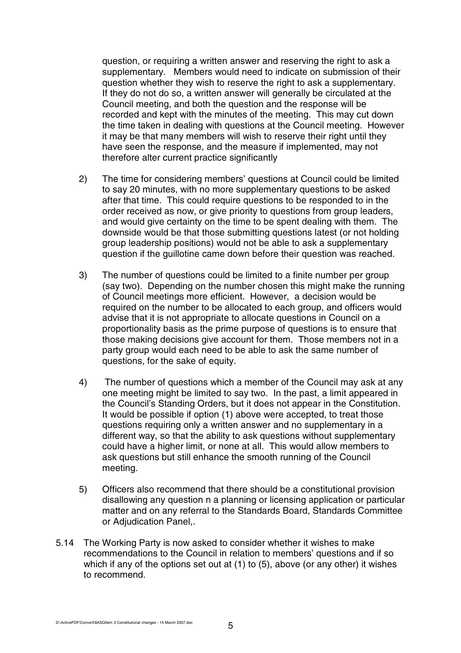question, or requiring a written answer and reserving the right to ask a supplementary. Members would need to indicate on submission of their question whether they wish to reserve the right to ask a supplementary. If they do not do so, a written answer will generally be circulated at the Council meeting, and both the question and the response will be recorded and kept with the minutes of the meeting. This may cut down the time taken in dealing with questions at the Council meeting. However it may be that many members will wish to reserve their right until they have seen the response, and the measure if implemented, may not therefore alter current practice significantly

- 2) The time for considering members' questions at Council could be limited to say 20 minutes, with no more supplementary questions to be asked after that time. This could require questions to be responded to in the order received as now, or give priority to questions from group leaders, and would give certainty on the time to be spent dealing with them. The downside would be that those submitting questions latest (or not holding group leadership positions) would not be able to ask a supplementary question if the guillotine came down before their question was reached.
- 3) The number of questions could be limited to a finite number per group (say two). Depending on the number chosen this might make the running of Council meetings more efficient. However, a decision would be required on the number to be allocated to each group, and officers would advise that it is not appropriate to allocate questions in Council on a proportionality basis as the prime purpose of questions is to ensure that those making decisions give account for them. Those members not in a party group would each need to be able to ask the same number of questions, for the sake of equity.
- 4) The number of questions which a member of the Council may ask at any one meeting might be limited to say two. In the past, a limit appeared in the Council's Standing Orders, but it does not appear in the Constitution. It would be possible if option (1) above were accepted, to treat those questions requiring only a written answer and no supplementary in a different way, so that the ability to ask questions without supplementary could have a higher limit, or none at all. This would allow members to ask questions but still enhance the smooth running of the Council meeting.
- 5) Officers also recommend that there should be a constitutional provision disallowing any question n a planning or licensing application or particular matter and on any referral to the Standards Board, Standards Committee or Adjudication Panel,.
- 5.14 The Working Party is now asked to consider whether it wishes to make recommendations to the Council in relation to members' questions and if so which if any of the options set out at (1) to (5), above (or any other) it wishes to recommend.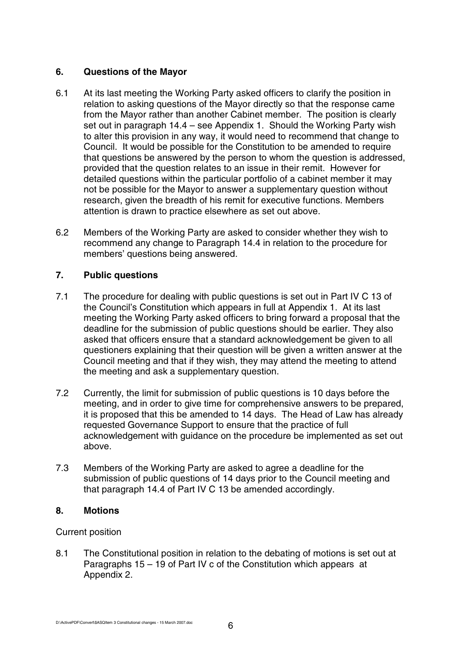## **6. Questions of the Mayor**

- 6.1 At its last meeting the Working Party asked officers to clarify the position in relation to asking questions of the Mayor directly so that the response came from the Mayor rather than another Cabinet member. The position is clearly set out in paragraph 14.4 – see Appendix 1. Should the Working Party wish to alter this provision in any way, it would need to recommend that change to Council. It would be possible for the Constitution to be amended to require that questions be answered by the person to whom the question is addressed, provided that the question relates to an issue in their remit. However for detailed questions within the particular portfolio of a cabinet member it may not be possible for the Mayor to answer a supplementary question without research, given the breadth of his remit for executive functions. Members attention is drawn to practice elsewhere as set out above.
- 6.2 Members of the Working Party are asked to consider whether they wish to recommend any change to Paragraph 14.4 in relation to the procedure for members' questions being answered.

## **7. Public questions**

- 7.1 The procedure for dealing with public questions is set out in Part IV C 13 of the Council's Constitution which appears in full at Appendix 1. At its last meeting the Working Party asked officers to bring forward a proposal that the deadline for the submission of public questions should be earlier. They also asked that officers ensure that a standard acknowledgement be given to all questioners explaining that their question will be given a written answer at the Council meeting and that if they wish, they may attend the meeting to attend the meeting and ask a supplementary question.
- 7.2 Currently, the limit for submission of public questions is 10 days before the meeting, and in order to give time for comprehensive answers to be prepared, it is proposed that this be amended to 14 days. The Head of Law has already requested Governance Support to ensure that the practice of full acknowledgement with guidance on the procedure be implemented as set out above.
- 7.3 Members of the Working Party are asked to agree a deadline for the submission of public questions of 14 days prior to the Council meeting and that paragraph 14.4 of Part IV C 13 be amended accordingly.

## **8. Motions**

# Current position

8.1 The Constitutional position in relation to the debating of motions is set out at Paragraphs 15 – 19 of Part IV c of the Constitution which appears at Appendix 2.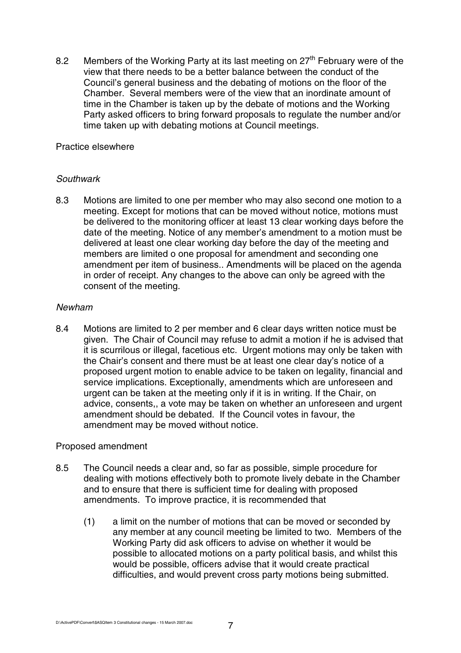8.2 Members of the Working Party at its last meeting on 27<sup>th</sup> February were of the view that there needs to be a better balance between the conduct of the Council's general business and the debating of motions on the floor of the Chamber. Several members were of the view that an inordinate amount of time in the Chamber is taken up by the debate of motions and the Working Party asked officers to bring forward proposals to regulate the number and/or time taken up with debating motions at Council meetings.

## Practice elsewhere

## **Southwark**

8.3 Motions are limited to one per member who may also second one motion to a meeting. Except for motions that can be moved without notice, motions must be delivered to the monitoring officer at least 13 clear working days before the date of the meeting. Notice of any member's amendment to a motion must be delivered at least one clear working day before the day of the meeting and members are limited o one proposal for amendment and seconding one amendment per item of business.. Amendments will be placed on the agenda in order of receipt. Any changes to the above can only be agreed with the consent of the meeting.

## Newham

8.4 Motions are limited to 2 per member and 6 clear days written notice must be given. The Chair of Council may refuse to admit a motion if he is advised that it is scurrilous or illegal, facetious etc. Urgent motions may only be taken with the Chair's consent and there must be at least one clear day's notice of a proposed urgent motion to enable advice to be taken on legality, financial and service implications. Exceptionally, amendments which are unforeseen and urgent can be taken at the meeting only if it is in writing. If the Chair, on advice, consents,, a vote may be taken on whether an unforeseen and urgent amendment should be debated. If the Council votes in favour, the amendment may be moved without notice.

## Proposed amendment

- 8.5 The Council needs a clear and, so far as possible, simple procedure for dealing with motions effectively both to promote lively debate in the Chamber and to ensure that there is sufficient time for dealing with proposed amendments. To improve practice, it is recommended that
	- (1) a limit on the number of motions that can be moved or seconded by any member at any council meeting be limited to two. Members of the Working Party did ask officers to advise on whether it would be possible to allocated motions on a party political basis, and whilst this would be possible, officers advise that it would create practical difficulties, and would prevent cross party motions being submitted.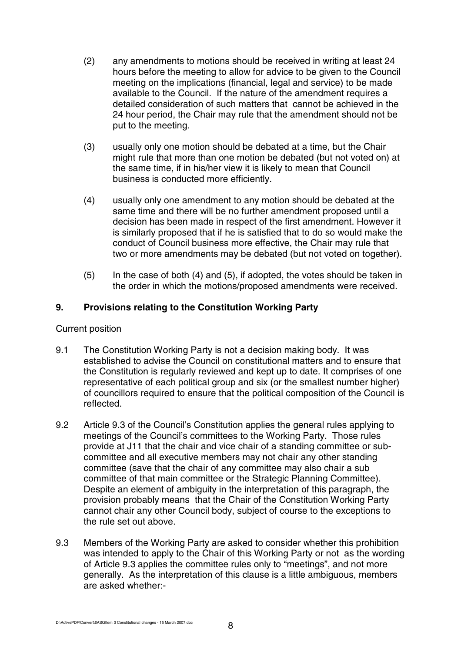- (2) any amendments to motions should be received in writing at least 24 hours before the meeting to allow for advice to be given to the Council meeting on the implications (financial, legal and service) to be made available to the Council. If the nature of the amendment requires a detailed consideration of such matters that cannot be achieved in the 24 hour period, the Chair may rule that the amendment should not be put to the meeting.
- (3) usually only one motion should be debated at a time, but the Chair might rule that more than one motion be debated (but not voted on) at the same time, if in his/her view it is likely to mean that Council business is conducted more efficiently.
- (4) usually only one amendment to any motion should be debated at the same time and there will be no further amendment proposed until a decision has been made in respect of the first amendment. However it is similarly proposed that if he is satisfied that to do so would make the conduct of Council business more effective, the Chair may rule that two or more amendments may be debated (but not voted on together).
- (5) In the case of both (4) and (5), if adopted, the votes should be taken in the order in which the motions/proposed amendments were received.

## **9. Provisions relating to the Constitution Working Party**

### Current position

- 9.1 The Constitution Working Party is not a decision making body. It was established to advise the Council on constitutional matters and to ensure that the Constitution is regularly reviewed and kept up to date. It comprises of one representative of each political group and six (or the smallest number higher) of councillors required to ensure that the political composition of the Council is reflected.
- 9.2 Article 9.3 of the Council's Constitution applies the general rules applying to meetings of the Council's committees to the Working Party. Those rules provide at J11 that the chair and vice chair of a standing committee or subcommittee and all executive members may not chair any other standing committee (save that the chair of any committee may also chair a sub committee of that main committee or the Strategic Planning Committee). Despite an element of ambiguity in the interpretation of this paragraph, the provision probably means that the Chair of the Constitution Working Party cannot chair any other Council body, subject of course to the exceptions to the rule set out above.
- 9.3 Members of the Working Party are asked to consider whether this prohibition was intended to apply to the Chair of this Working Party or not as the wording of Article 9.3 applies the committee rules only to "meetings", and not more generally. As the interpretation of this clause is a little ambiguous, members are asked whether:-